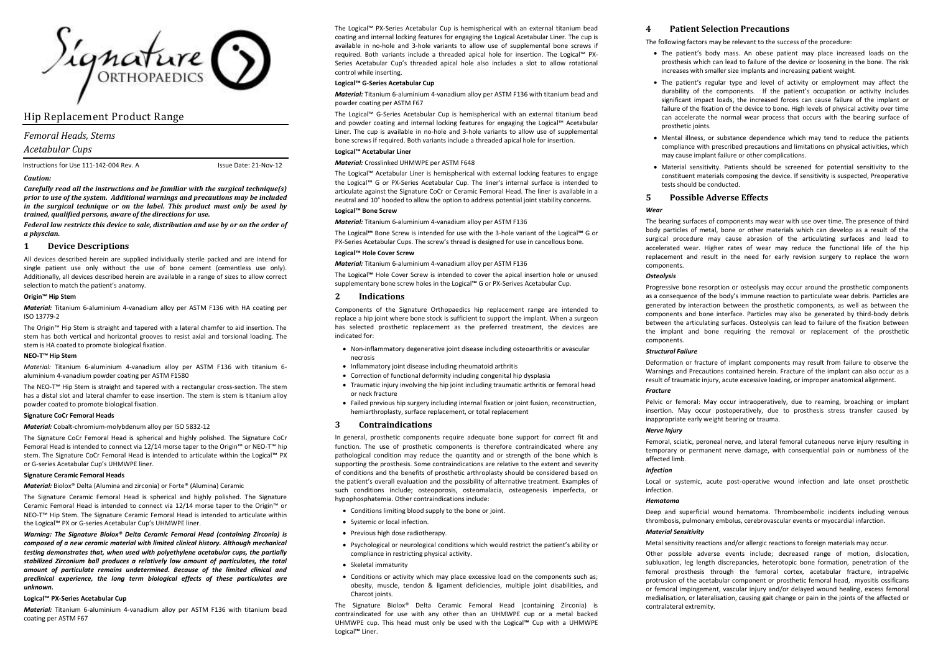

# Hip Replacement Product Range

## *Femoral Heads, Stems*

## *Acetabular Cups*

Instructions for Use 111-142-004 Rev. A Issue Date: 21-Nov-12

#### *Caution:*

*Carefully read all the instructions and be familiar with the surgical technique(s) prior to use of the system. Additional warnings and precautions may be included in the surgical technique or on the label. This product must only be used by trained, qualified persons, aware of the directions for use.*

*Federal law restricts this device to sale, distribution and use by or on the order of a physcian.*

#### **1 Device Descriptions**

All devices described herein are supplied individually sterile packed and are intend for single patient use only without the use of bone cement (cementless use only). Additionally, all devices described herein are available in a range of sizes to allow correct selection to match the patient's anatomy.

### **Origin™ Hip Stem**

*Material:* Titanium 6-aluminium 4-vanadium alloy per ASTM F136 with HA coating per ISO 13779-2

The Origin™ Hip Stem is straight and tapered with a lateral chamfer to aid insertion. The stem has both vertical and horizontal grooves to resist axial and torsional loading. The stem is HA coated to promote biological fixation.

#### **NEO-T™ Hip Stem**

*Material:* Titanium 6-aluminium 4-vanadium alloy per ASTM F136 with titanium 6 aluminium 4-vanadium powder coating per ASTM F1580

The NEO-T™ Hip Stem is straight and tapered with a rectangular cross-section. The stem has a distal slot and lateral chamfer to ease insertion. The stem is stem is titanium alloy powder coated to promote biological fixation.

#### **Signature CoCr Femoral Heads**

*Material:* Cobalt-chromium-molybdenum alloy per ISO 5832-12

The Signature CoCr Femoral Head is spherical and highly polished. The Signature CoCr Femoral Head is intended to connect via 12/14 morse taper to the Origin™ or NEO-T™ hip stem. The Signature CoCr Femoral Head is intended to articulate within the Logical™ PX or G-series Acetabular Cup's UHMWPE liner.

#### **Signature Ceramic Femoral Heads**

*Material:* Biolox® Delta (Alumina and zirconia) or Forte® (Alumina) Ceramic

The Signature Ceramic Femoral Head is spherical and highly polished. The Signature Ceramic Femoral Head is intended to connect via 12/14 morse taper to the Origin™ or NEO-T™ Hip Stem. The Signature Ceramic Femoral Head is intended to articulate within the Logical™ PX or G-series Acetabular Cup's UHMWPE liner.

*Warning: The Signature Biolox® Delta Ceramic Femoral Head (containing Zirconia) is composed of a new ceramic material with limited clinical history. Although mechanical testing demonstrates that, when used with polyethylene acetabular cups, the partially stabilized Zirconium ball produces a relatively low amount of particulates, the total amount of particulate remains undetermined. Because of the limited clinical and preclinical experience, the long term biological effects of these particulates are unknown.*

#### **Logical™ PX-Series Acetabular Cup**

*Material:* Titanium 6-aluminium 4-vanadium alloy per ASTM F136 with titanium bead coating per ASTM F67

The Logical™ PX-Series Acetabular Cup is hemispherical with an external titanium bead coating and internal locking features for engaging the Logical Acetabular Liner. The cup is available in no-hole and 3-hole variants to allow use of supplemental bone screws if required. Both variants include a threaded apical hole for insertion. The Logical™ PX-Series Acetabular Cup's threaded apical hole also includes a slot to allow rotational control while inserting.

## **Logical™ G-Series Acetabular Cup**

*Material:* Titanium 6-aluminium 4-vanadium alloy per ASTM F136 with titanium bead and powder coating per ASTM F67

The Logical™ G-Series Acetabular Cup is hemispherical with an external titanium bead and powder coating and internal locking features for engaging the Logical™ Acetabular Liner. The cup is available in no-hole and 3-hole variants to allow use of supplemental bone screws if required. Both variants include a threaded apical hole for insertion.

### **Logical™ Acetabular Liner**

#### *Material:* Crosslinked UHMWPE per ASTM F648

The Logical™ Acetabular Liner is hemispherical with external locking features to engage the Logical™ G or PX-Series Acetabular Cup. The liner's internal surface is intended to articulate against the Signature CoCr or Ceramic Femoral Head. The liner is available in a neutral and 10° hooded to allow the option to address potential joint stability concerns.

## **Logical™ Bone Screw**

*Material:* Titanium 6-aluminium 4-vanadium alloy per ASTM F136

The Logical**™** Bone Screw is intended for use with the 3-hole variant of the Logical**™** G or PX-Series Acetabular Cups. The screw's thread is designed for use in cancellous bone.

#### **Logical™ Hole Cover Screw**

*Material:* Titanium 6-aluminium 4-vanadium alloy per ASTM F136

The Logical**™** Hole Cover Screw is intended to cover the apical insertion hole or unused supplementary bone screw holes in the Logical**™** G or PX-Serives Acetabular Cup.

### **2 Indications**

Components of the Signature Orthopaedics hip replacement range are intended to replace a hip joint where bone stock is sufficient to support the implant. When a surgeon has selected prosthetic replacement as the preferred treatment, the devices are indicated for:

- Non-inflammatory degenerative joint disease including osteoarthritis or avascular necrosis
- Inflammatory joint disease including rheumatoid arthritis
- Correction of functional deformity including congenital hip dysplasia
- Traumatic injury involving the hip joint including traumatic arthritis or femoral head or neck fracture
- Failed previous hip surgery including internal fixation or joint fusion, reconstruction, hemiarthroplasty, surface replacement, or total replacement

### **3 Contraindications**

In general, prosthetic components require adequate bone support for correct fit and function. The use of prosthetic components is therefore contraindicated where any pathological condition may reduce the quantity and or strength of the bone which is supporting the prosthesis. Some contraindications are relative to the extent and severity of conditions and the benefits of prosthetic arthroplasty should be considered based on the patient's overall evaluation and the possibility of alternative treatment. Examples of such conditions include; osteoporosis, osteomalacia, osteogenesis imperfecta, or hypophosphatemia. Other contraindications include:

- Conditions limiting blood supply to the bone or joint.
- Systemic or local infection.
- Previous high dose radiotherapy.
- Psychological or neurological conditions which would restrict the patient's ability or compliance in restricting physical activity.
- Skeletal immaturity
- Conditions or activity which may place excessive load on the components such as; obesity, muscle, tendon & ligament deficiencies, multiple joint disabilities, and Charcot joints.

The Signature Biolox® Delta Ceramic Femoral Head (containing Zirconia) is contraindicated for use with any other than an UHMWPE cup or a metal backed UHMWPE cup. This head must only be used with the Logical**™** Cup with a UHMWPE Logical**™** Liner.

## **4 Patient Selection Precautions**

The following factors may be relevant to the success of the procedure:

- The patient's body mass. An obese patient may place increased loads on the prosthesis which can lead to failure of the device or loosening in the bone. The risk increases with smaller size implants and increasing patient weight.
- The patient's regular type and level of activity or employment may affect the durability of the components. If the patient's occupation or activity includes significant impact loads, the increased forces can cause failure of the implant or failure of the fixation of the device to bone. High levels of physical activity over time can accelerate the normal wear process that occurs with the bearing surface of prosthetic joints.
- Mental illness, or substance dependence which may tend to reduce the patients compliance with prescribed precautions and limitations on physical activities, which may cause implant failure or other complications.
- Material sensitivity. Patients should be screened for potential sensitivity to the constituent materials composing the device. If sensitivity is suspected, Preoperative tests should be conducted.

## **5 Possible Adverse Effects**

## *Wear*

The bearing surfaces of components may wear with use over time. The presence of third body particles of metal, bone or other materials which can develop as a result of the surgical procedure may cause abrasion of the articulating surfaces and lead to accelerated wear. Higher rates of wear may reduce the functional life of the hip replacement and result in the need for early revision surgery to replace the worn components.

#### *Osteolysis*

Progressive bone resorption or osteolysis may occur around the prosthetic components as a consequence of the body's immune reaction to particulate wear debris. Particles are generated by interaction between the prosthetic components, as well as between the components and bone interface. Particles may also be generated by third-body debris between the articulating surfaces. Osteolysis can lead to failure of the fixation between the implant and bone requiring the removal or replacement of the prosthetic components.

#### *Structural Failure*

Deformation or fracture of implant components may result from failure to observe the Warnings and Precautions contained herein. Fracture of the implant can also occur as a result of traumatic injury, acute excessive loading, or improper anatomical alignment.

#### *Fracture*

Pelvic or femoral: May occur intraoperatively, due to reaming, broaching or implant insertion. May occur postoperatively, due to prosthesis stress transfer caused by inappropriate early weight bearing or trauma.

### *Nerve Injury*

Femoral, sciatic, peroneal nerve, and lateral femoral cutaneous nerve injury resulting in temporary or permanent nerve damage, with consequential pain or numbness of the affected limb.

#### *Infection*

Local or systemic, acute post-operative wound infection and late onset prosthetic infection.

#### *Hematoma*

Deep and superficial wound hematoma. Thromboembolic incidents including venous thrombosis, pulmonary embolus, cerebrovascular events or myocardial infarction.

#### *Material Sensitivity*

Metal sensitivity reactions and/or allergic reactions to foreign materials may occur.

Other possible adverse events include; decreased range of motion, dislocation, subluxation, leg length discrepancies, heterotopic bone formation, penetration of the femoral prosthesis through the femoral cortex, acetabular fracture, intrapelvic protrusion of the acetabular component or prosthetic femoral head, myositis ossificans or femoral impingement, vascular injury and/or delayed wound healing, excess femoral medialisation, or lateralisation, causing gait change or pain in the joints of the affected or contralateral extremity.